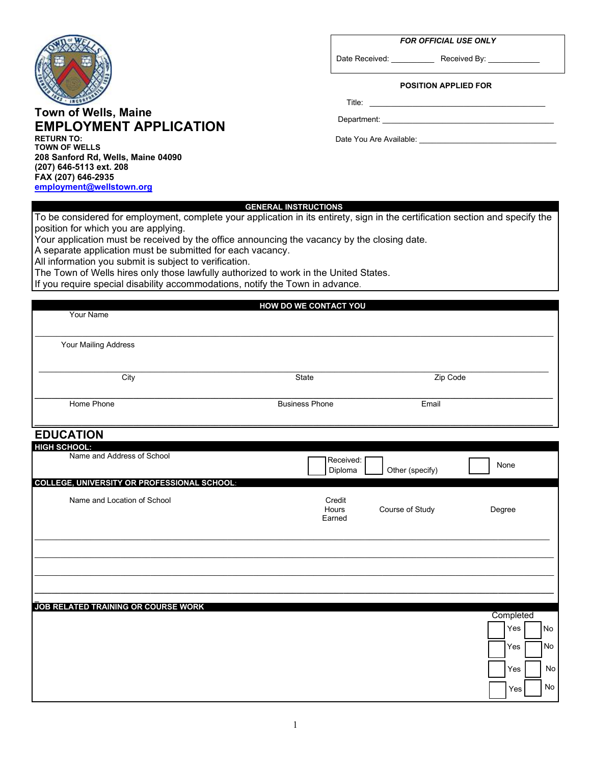

**Town of Wells, Maine EMPLOYMENT APPLICATION**

**RETURN TO: TOWN OF WELLS 208 Sanford Rd, Wells, Maine 04090 (207) 646-5113 ext. 208 FAX (207) 646-2935 [employment@wellstown.org](mailto:employment@wellstown.org)**

*FOR OFFICIAL USE ONLY*

Date Received: \_\_\_\_\_\_\_\_\_\_\_\_\_\_ Received By: \_\_

#### **POSITION APPLIED FOR**

Title:  $\overline{\phantom{a}}$ 

Department: \_\_\_\_\_\_\_\_\_\_\_\_\_\_\_\_\_\_\_\_\_\_\_\_\_\_\_\_\_\_\_\_\_\_\_\_\_\_\_\_

Date You Are Available:

#### **GENERAL INSTRUCTIONS**

To be considered for employment, complete your application in its entirety, sign in the certification section and specify the position for which you are applying.

Your application must be received by the office announcing the vacancy by the closing date.

A separate application must be submitted for each vacancy.

All information you submit is subject to verification.

The Town of Wells hires only those lawfully authorized to work in the United States.

If you require special disability accommodations, notify the Town in advance.

# **HOW DO WE CONTACT YOU**

\_\_\_\_\_\_\_\_\_\_\_\_\_\_\_\_\_\_\_\_\_\_\_\_\_\_\_\_\_\_\_\_\_\_\_\_\_\_\_\_\_\_\_\_\_\_\_\_\_\_\_\_\_\_\_\_\_\_\_\_\_\_\_\_\_\_\_\_\_\_\_\_\_\_\_\_\_\_\_\_\_\_\_\_\_\_\_\_\_\_\_\_\_\_\_\_\_\_\_\_\_\_\_\_\_\_\_\_\_\_\_\_\_\_\_\_\_\_\_\_\_ Your Mailing Address

Your Name

#### **\_\_\_\_\_\_\_\_\_\_\_\_\_\_\_\_\_\_\_\_\_\_\_\_\_\_\_\_\_\_\_\_\_\_\_\_\_\_\_\_\_\_\_\_\_\_\_\_\_\_\_\_\_\_\_\_\_\_\_\_\_\_\_\_\_\_\_\_\_\_\_\_\_\_\_\_\_\_\_\_\_\_\_\_\_\_\_\_\_\_\_\_\_\_\_\_\_\_\_\_\_\_\_\_\_\_\_\_\_\_\_\_\_\_\_\_\_\_\_\_\_**  Home Phone **Email**<br>
Business Phone **Email**

**\_\_\_\_\_\_\_\_\_\_\_\_\_\_\_\_\_\_\_\_\_\_\_\_\_\_\_\_\_\_\_\_\_\_\_\_\_\_\_\_\_\_\_\_\_\_\_\_\_\_\_\_\_\_\_\_\_\_\_\_\_\_\_\_\_\_\_\_\_\_\_\_\_\_\_\_\_\_\_\_\_\_\_\_\_\_\_\_\_\_\_\_\_\_\_\_\_\_\_\_\_\_\_\_\_\_\_\_\_\_\_\_\_\_\_\_\_\_\_\_\_**

\_\_\_\_\_\_\_\_\_\_\_\_\_\_\_\_\_\_\_\_\_\_\_\_\_\_\_\_\_\_\_\_\_\_\_\_\_\_\_\_\_\_\_\_\_\_\_\_\_\_\_\_\_\_\_\_\_\_\_\_\_\_\_\_\_\_\_\_\_\_\_\_\_\_\_\_\_\_\_\_\_\_\_\_\_\_\_\_\_\_\_\_\_\_\_\_\_\_\_\_\_\_\_\_\_\_\_\_\_\_\_\_\_\_\_\_\_\_\_ City State Zip Code

## **EDUCATION**

| <b>HIGH SCHOOL:</b>                                |                           |                 |           |
|----------------------------------------------------|---------------------------|-----------------|-----------|
| Name and Address of School                         | Received:<br>Diploma      | Other (specify) | None      |
| <b>COLLEGE, UNIVERSITY OR PROFESSIONAL SCHOOL:</b> |                           |                 |           |
| Name and Location of School                        | Credit<br>Hours<br>Earned | Course of Study | Degree    |
|                                                    |                           |                 |           |
|                                                    |                           |                 |           |
|                                                    |                           |                 |           |
| JOB RELATED TRAINING OR COURSE WORK                |                           |                 |           |
|                                                    |                           |                 | Completed |
|                                                    |                           |                 | Yes<br>No |
|                                                    |                           |                 | No<br>Yes |
|                                                    |                           |                 | No<br>Yes |
|                                                    |                           |                 | No<br>Yes |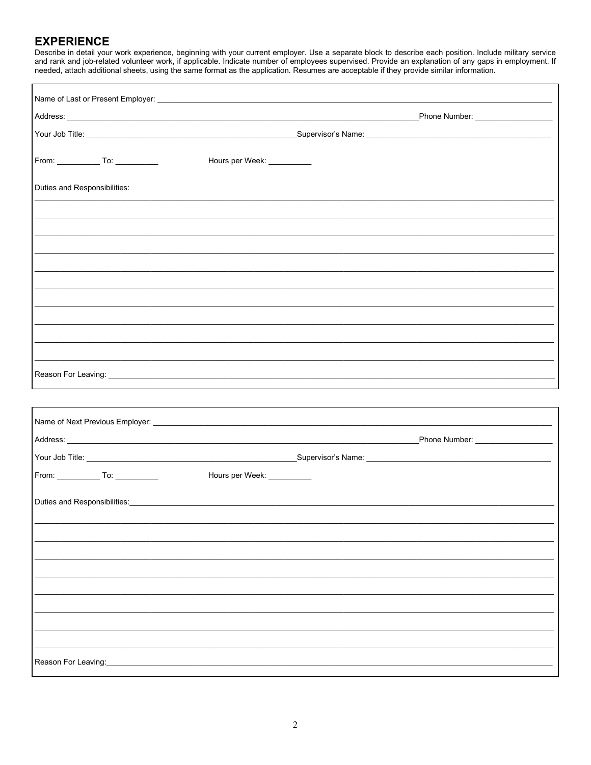#### **EXPERIENCE**

Describe in detail your work experience, beginning with your current employer. Use a separate block to describe each position. Include military service and rank and job-related volunteer work, if applicable. Indicate number of employees supervised. Provide an explanation of any gaps in employment. If needed, attach additional sheets, using the same format as the applicati

|                              | Hours per Week: ___________ |  |
|------------------------------|-----------------------------|--|
| Duties and Responsibilities: |                             |  |
|                              |                             |  |
|                              |                             |  |
|                              |                             |  |
|                              |                             |  |
|                              |                             |  |
|                              |                             |  |
|                              |                             |  |
|                              |                             |  |
|                              |                             |  |
|                              |                             |  |
|                              |                             |  |
|                              |                             |  |
|                              |                             |  |
|                              |                             |  |
|                              |                             |  |
|                              | Hours per Week: ___________ |  |
|                              |                             |  |
|                              |                             |  |
|                              |                             |  |
|                              |                             |  |
|                              |                             |  |
|                              |                             |  |
|                              |                             |  |
|                              |                             |  |
|                              |                             |  |
| Reason For Leaving:          |                             |  |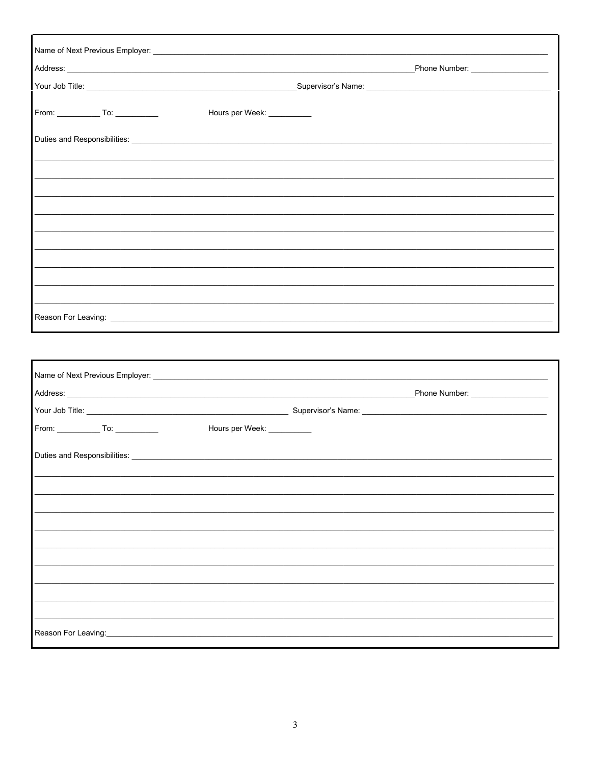| Phone Number: __________________                                                                                                                                                                                                    |
|-------------------------------------------------------------------------------------------------------------------------------------------------------------------------------------------------------------------------------------|
|                                                                                                                                                                                                                                     |
| Hours per Week: __________                                                                                                                                                                                                          |
|                                                                                                                                                                                                                                     |
|                                                                                                                                                                                                                                     |
|                                                                                                                                                                                                                                     |
|                                                                                                                                                                                                                                     |
|                                                                                                                                                                                                                                     |
|                                                                                                                                                                                                                                     |
|                                                                                                                                                                                                                                     |
|                                                                                                                                                                                                                                     |
|                                                                                                                                                                                                                                     |
| Reason For Leaving: <u>Alexander Control Communication</u> and Control Control Control Control Control Control Control Control Control Control Control Control Control Control Control Control Control Control Control Control Cont |

|                                                                                                                                                                                                                                |                            | Phone Number: ___________________ |
|--------------------------------------------------------------------------------------------------------------------------------------------------------------------------------------------------------------------------------|----------------------------|-----------------------------------|
|                                                                                                                                                                                                                                |                            |                                   |
| From: _______________ To: ___________                                                                                                                                                                                          | Hours per Week: __________ |                                   |
|                                                                                                                                                                                                                                |                            |                                   |
|                                                                                                                                                                                                                                |                            |                                   |
|                                                                                                                                                                                                                                |                            |                                   |
|                                                                                                                                                                                                                                |                            |                                   |
|                                                                                                                                                                                                                                |                            |                                   |
|                                                                                                                                                                                                                                |                            |                                   |
|                                                                                                                                                                                                                                |                            |                                   |
|                                                                                                                                                                                                                                |                            |                                   |
|                                                                                                                                                                                                                                |                            |                                   |
| Reason For Leaving: Note and the Contract of the Contract of the Contract of the Contract of the Contract of the Contract of the Contract of the Contract of the Contract of the Contract of the Contract of the Contract of t |                            |                                   |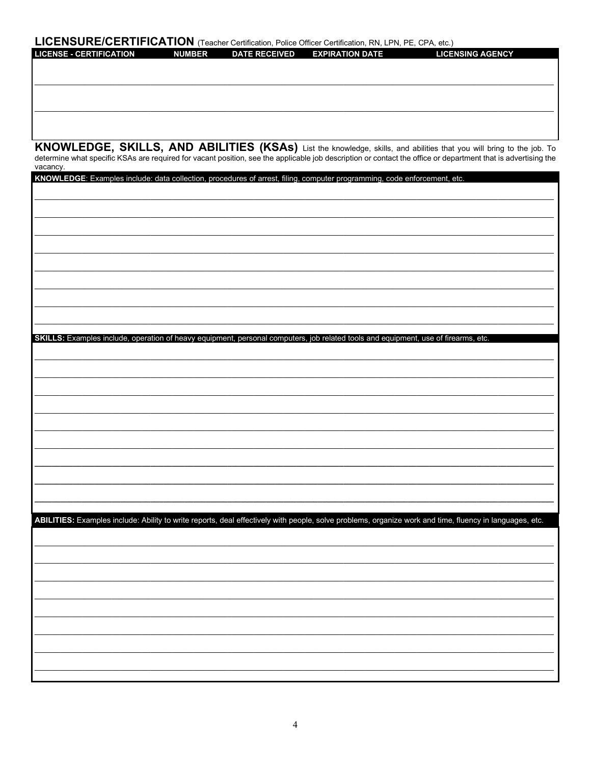## LICENSURE/CERTIFICATION (Teacher Certification, Police Officer Certification, RN, LPN, PE, CPA, etc.)

| <b>LICENSE - CERTIFICATION</b> | <b>NUMBER</b> | <b>DATE RECEIVED</b> | <b>EXPIRATION DATE</b> | <b>LICENSING AGENCY</b> |
|--------------------------------|---------------|----------------------|------------------------|-------------------------|
|                                |               |                      |                        |                         |
|                                |               |                      |                        |                         |
|                                |               |                      |                        |                         |
|                                |               |                      |                        |                         |
|                                |               |                      |                        |                         |
|                                |               |                      |                        |                         |
|                                |               |                      |                        |                         |

KNOWLEDGE, SKILLS, AND ABILITIES (KSAs) List the knowledge, skills, and abilities that you will bring to the job. To determine what specific KSAs are required for vacant position, see the applicable job description or cont

| vacancy.                                                                                                                                                |
|---------------------------------------------------------------------------------------------------------------------------------------------------------|
| KNOWLEDGE: Examples include: data collection, procedures of arrest, filing, computer programming, code enforcement, etc.                                |
|                                                                                                                                                         |
|                                                                                                                                                         |
|                                                                                                                                                         |
|                                                                                                                                                         |
|                                                                                                                                                         |
|                                                                                                                                                         |
|                                                                                                                                                         |
|                                                                                                                                                         |
|                                                                                                                                                         |
|                                                                                                                                                         |
|                                                                                                                                                         |
|                                                                                                                                                         |
| SKILLS: Examples include, operation of heavy equipment, personal computers, job related tools and equipment, use of firearms, etc.                      |
|                                                                                                                                                         |
|                                                                                                                                                         |
|                                                                                                                                                         |
|                                                                                                                                                         |
|                                                                                                                                                         |
|                                                                                                                                                         |
|                                                                                                                                                         |
|                                                                                                                                                         |
|                                                                                                                                                         |
|                                                                                                                                                         |
|                                                                                                                                                         |
|                                                                                                                                                         |
|                                                                                                                                                         |
|                                                                                                                                                         |
|                                                                                                                                                         |
| ABILITIES: Examples include: Ability to write reports, deal effectively with people, solve problems, organize work and time, fluency in languages, etc. |
|                                                                                                                                                         |
|                                                                                                                                                         |
|                                                                                                                                                         |
|                                                                                                                                                         |
|                                                                                                                                                         |
|                                                                                                                                                         |
|                                                                                                                                                         |
|                                                                                                                                                         |
|                                                                                                                                                         |
|                                                                                                                                                         |
|                                                                                                                                                         |
|                                                                                                                                                         |
|                                                                                                                                                         |
|                                                                                                                                                         |